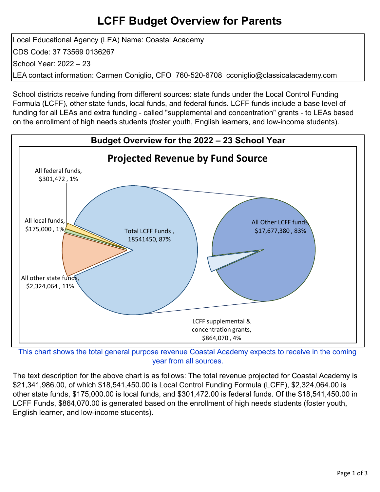# **LCFF Budget Overview for Parents**

Local Educational Agency (LEA) Name: Coastal Academy CDS Code: 37 73569 0136267 School Year: 2022 – 23 LEA contact information: Carmen Coniglio, CFO 760-520-6708 cconiglio@classicalacademy.com

School districts receive funding from different sources: state funds under the Local Control Funding Formula (LCFF), other state funds, local funds, and federal funds. LCFF funds include a base level of funding for all LEAs and extra funding - called "supplemental and concentration" grants - to LEAs based on the enrollment of high needs students (foster youth, English learners, and low-income students).



This chart shows the total general purpose revenue Coastal Academy expects to receive in the coming year from all sources.

The text description for the above chart is as follows: The total revenue projected for Coastal Academy is \$21,341,986.00, of which \$18,541,450.00 is Local Control Funding Formula (LCFF), \$2,324,064.00 is other state funds, \$175,000.00 is local funds, and \$301,472.00 is federal funds. Of the \$18,541,450.00 in LCFF Funds, \$864,070.00 is generated based on the enrollment of high needs students (foster youth, English learner, and low-income students).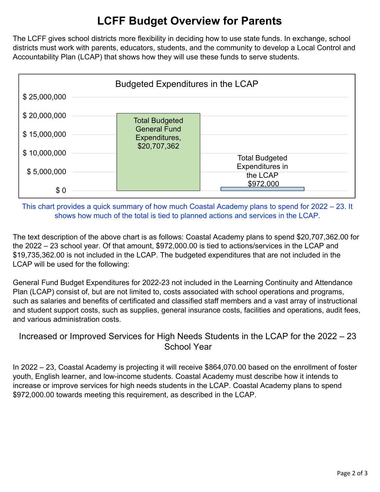# **LCFF Budget Overview for Parents**

The LCFF gives school districts more flexibility in deciding how to use state funds. In exchange, school districts must work with parents, educators, students, and the community to develop a Local Control and Accountability Plan (LCAP) that shows how they will use these funds to serve students.



This chart provides a quick summary of how much Coastal Academy plans to spend for 2022 – 23. It shows how much of the total is tied to planned actions and services in the LCAP.

The text description of the above chart is as follows: Coastal Academy plans to spend \$20,707,362.00 for the 2022 – 23 school year. Of that amount, \$972,000.00 is tied to actions/services in the LCAP and \$19,735,362.00 is not included in the LCAP. The budgeted expenditures that are not included in the LCAP will be used for the following:

General Fund Budget Expenditures for 2022-23 not included in the Learning Continuity and Attendance Plan (LCAP) consist of, but are not limited to, costs associated with school operations and programs, such as salaries and benefits of certificated and classified staff members and a vast array of instructional and student support costs, such as supplies, general insurance costs, facilities and operations, audit fees, and various administration costs.

### Increased or Improved Services for High Needs Students in the LCAP for the 2022 – 23 School Year

In 2022 – 23, Coastal Academy is projecting it will receive \$864,070.00 based on the enrollment of foster youth, English learner, and low-income students. Coastal Academy must describe how it intends to increase or improve services for high needs students in the LCAP. Coastal Academy plans to spend \$972,000.00 towards meeting this requirement, as described in the LCAP.